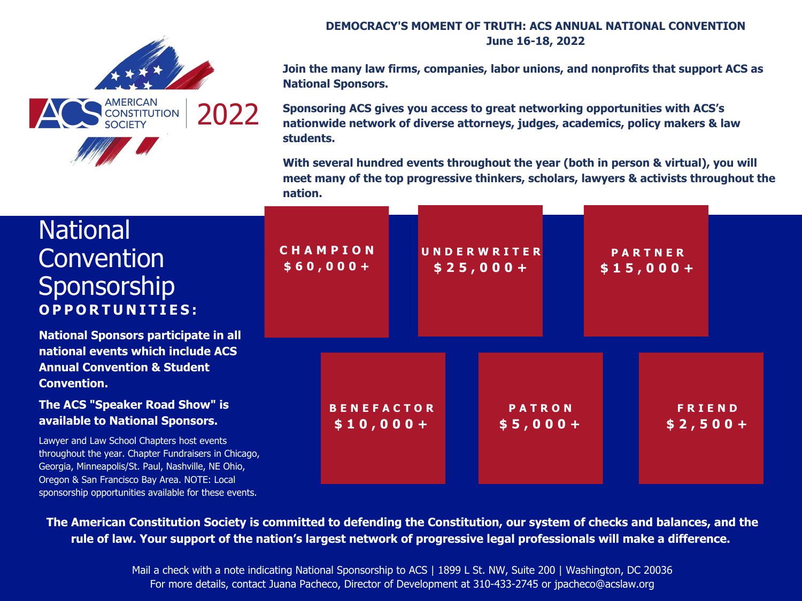

## **DEMOCRACY'S MOMENT OF TRUTH: ACS ANNUAL NATIONAL CONVENTION June 16-18, 2022**

**Join the many law firms, companies, labor unions, and nonprofits that support ACS as National Sponsors.**

**Sponsoring ACS gives you access to great networking opportunities with ACS's nationwide network of diverse attorneys, judges, academics, policy makers & law students.**

With several hundred events throughout the year (both in person & virtual), you will **meet many of the top progressive thinkers, scholars, lawyers & activists throughout the nation.**

| <b>National</b><br>Convention<br>Sponsorship<br><b>OPPORTUNITIES:</b>                                                                                                                                                                                             | CHAMPION<br>$$60,000+$          | UNDERWRITER<br>$$25,000+$ |                            | <b>PARTNER</b><br>$$15,000+$ |                            |  |
|-------------------------------------------------------------------------------------------------------------------------------------------------------------------------------------------------------------------------------------------------------------------|---------------------------------|---------------------------|----------------------------|------------------------------|----------------------------|--|
| <b>National Sponsors participate in all</b><br>national events which include ACS<br><b>Annual Convention &amp; Student</b><br><b>Convention.</b>                                                                                                                  |                                 |                           |                            |                              |                            |  |
| The ACS "Speaker Road Show" is<br>available to National Sponsors.                                                                                                                                                                                                 | <b>BENEFACTOR</b><br>$$10,000+$ |                           | <b>PATRON</b><br>$$5,000+$ |                              | <b>FRIEND</b><br>$52,500+$ |  |
| Lawyer and Law School Chapters host events<br>throughout the year. Chapter Fundraisers in Chicago,<br>Georgia, Minneapolis/St. Paul, Nashville, NE Ohio,<br>Oregon & San Francisco Bay Area. NOTE: Local<br>sponsorship opportunities available for these events. |                                 |                           |                            |                              |                            |  |

The American Constitution Society is committed to defending the Constitution, our system of checks and balances, and the rule of law. Your support of the nation's largest network of progressive legal professionals will make a difference.

> Mail a check with a note indicating National Sponsorship to ACS | 1899 L St. NW, Suite 200 | Washington, DC 20036 For more details, contact Juana Pacheco, Director of Development at 310-433-2745 or jpacheco@acslaw.org